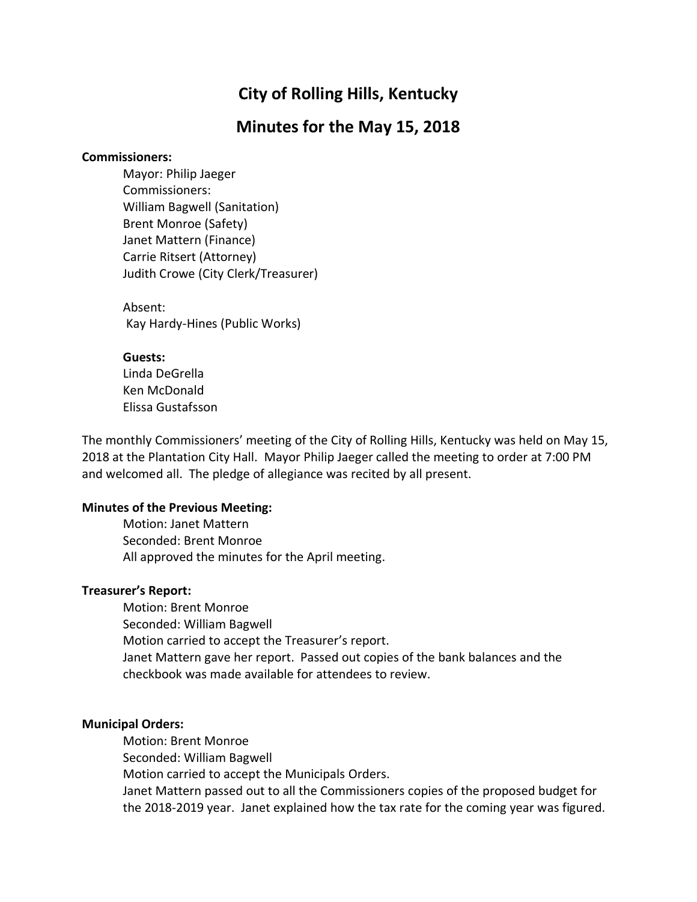# **City of Rolling Hills, Kentucky**

# **Minutes for the May 15, 2018**

## **Commissioners:**

Mayor: Philip Jaeger Commissioners: William Bagwell (Sanitation) Brent Monroe (Safety) Janet Mattern (Finance) Carrie Ritsert (Attorney) Judith Crowe (City Clerk/Treasurer)

Absent: Kay Hardy-Hines (Public Works)

### **Guests:**

Linda DeGrella Ken McDonald Elissa Gustafsson

The monthly Commissioners' meeting of the City of Rolling Hills, Kentucky was held on May 15, 2018 at the Plantation City Hall. Mayor Philip Jaeger called the meeting to order at 7:00 PM and welcomed all. The pledge of allegiance was recited by all present.

## **Minutes of the Previous Meeting:**

Motion: Janet Mattern Seconded: Brent Monroe All approved the minutes for the April meeting.

## **Treasurer's Report:**

Motion: Brent Monroe Seconded: William Bagwell Motion carried to accept the Treasurer's report. Janet Mattern gave her report. Passed out copies of the bank balances and the checkbook was made available for attendees to review.

## **Municipal Orders:**

Motion: Brent Monroe Seconded: William Bagwell Motion carried to accept the Municipals Orders. Janet Mattern passed out to all the Commissioners copies of the proposed budget for the 2018-2019 year. Janet explained how the tax rate for the coming year was figured.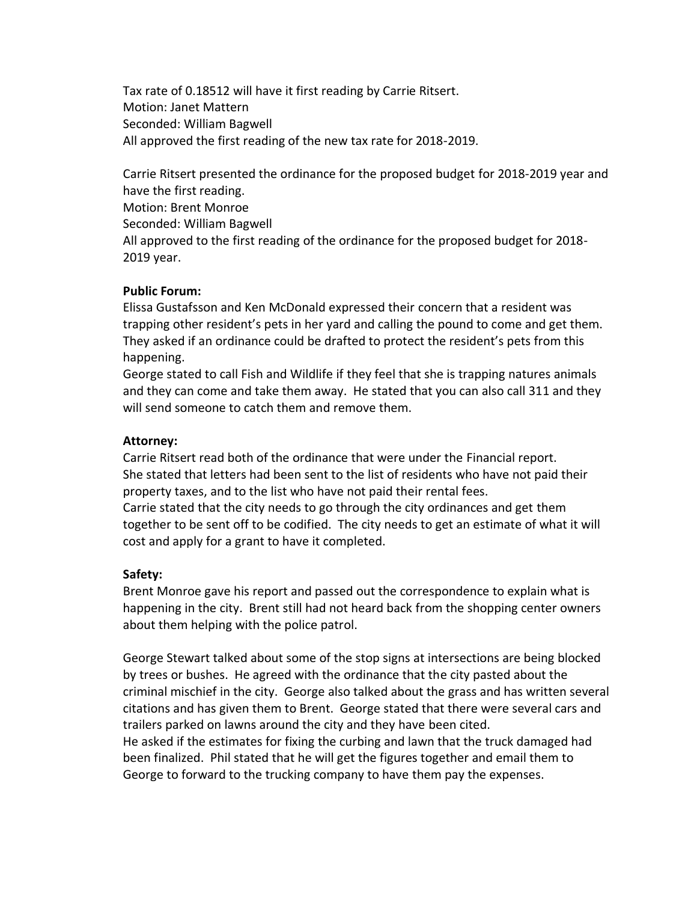Tax rate of 0.18512 will have it first reading by Carrie Ritsert. Motion: Janet Mattern Seconded: William Bagwell All approved the first reading of the new tax rate for 2018-2019.

Carrie Ritsert presented the ordinance for the proposed budget for 2018-2019 year and have the first reading. Motion: Brent Monroe Seconded: William Bagwell All approved to the first reading of the ordinance for the proposed budget for 2018- 2019 year.

#### **Public Forum:**

Elissa Gustafsson and Ken McDonald expressed their concern that a resident was trapping other resident's pets in her yard and calling the pound to come and get them. They asked if an ordinance could be drafted to protect the resident's pets from this happening.

George stated to call Fish and Wildlife if they feel that she is trapping natures animals and they can come and take them away. He stated that you can also call 311 and they will send someone to catch them and remove them.

#### **Attorney:**

Carrie Ritsert read both of the ordinance that were under the Financial report. She stated that letters had been sent to the list of residents who have not paid their property taxes, and to the list who have not paid their rental fees.

Carrie stated that the city needs to go through the city ordinances and get them together to be sent off to be codified. The city needs to get an estimate of what it will cost and apply for a grant to have it completed.

## **Safety:**

Brent Monroe gave his report and passed out the correspondence to explain what is happening in the city. Brent still had not heard back from the shopping center owners about them helping with the police patrol.

George Stewart talked about some of the stop signs at intersections are being blocked by trees or bushes. He agreed with the ordinance that the city pasted about the criminal mischief in the city. George also talked about the grass and has written several citations and has given them to Brent. George stated that there were several cars and trailers parked on lawns around the city and they have been cited.

He asked if the estimates for fixing the curbing and lawn that the truck damaged had been finalized. Phil stated that he will get the figures together and email them to George to forward to the trucking company to have them pay the expenses.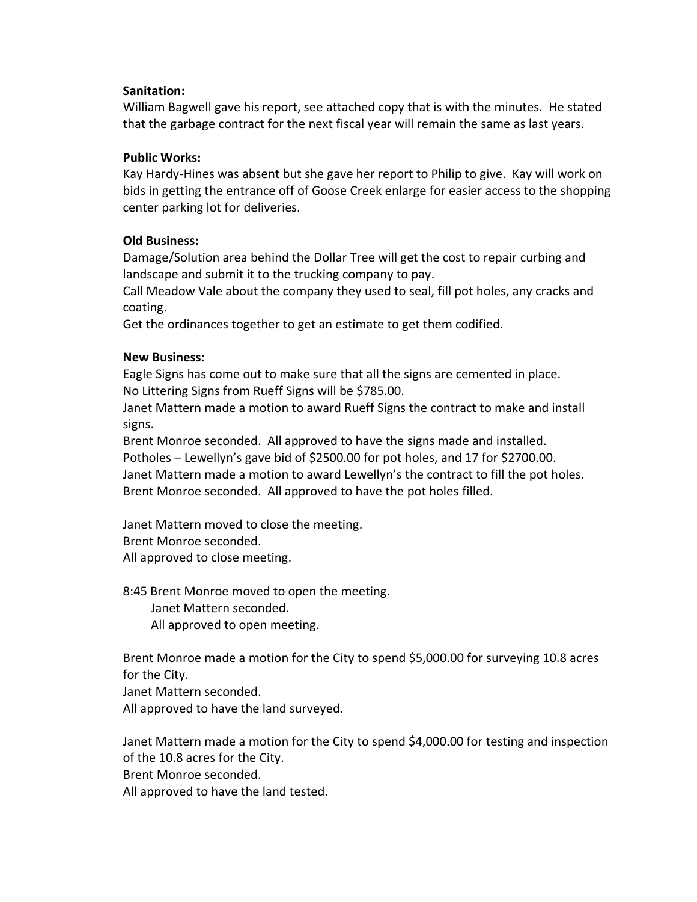## **Sanitation:**

William Bagwell gave his report, see attached copy that is with the minutes. He stated that the garbage contract for the next fiscal year will remain the same as last years.

## **Public Works:**

Kay Hardy-Hines was absent but she gave her report to Philip to give. Kay will work on bids in getting the entrance off of Goose Creek enlarge for easier access to the shopping center parking lot for deliveries.

## **Old Business:**

Damage/Solution area behind the Dollar Tree will get the cost to repair curbing and landscape and submit it to the trucking company to pay.

Call Meadow Vale about the company they used to seal, fill pot holes, any cracks and coating.

Get the ordinances together to get an estimate to get them codified.

## **New Business:**

Eagle Signs has come out to make sure that all the signs are cemented in place. No Littering Signs from Rueff Signs will be \$785.00.

Janet Mattern made a motion to award Rueff Signs the contract to make and install signs.

Brent Monroe seconded. All approved to have the signs made and installed. Potholes – Lewellyn's gave bid of \$2500.00 for pot holes, and 17 for \$2700.00. Janet Mattern made a motion to award Lewellyn's the contract to fill the pot holes. Brent Monroe seconded. All approved to have the pot holes filled.

Janet Mattern moved to close the meeting. Brent Monroe seconded. All approved to close meeting.

8:45 Brent Monroe moved to open the meeting. Janet Mattern seconded. All approved to open meeting.

Brent Monroe made a motion for the City to spend \$5,000.00 for surveying 10.8 acres for the City.

Janet Mattern seconded. All approved to have the land surveyed.

Janet Mattern made a motion for the City to spend \$4,000.00 for testing and inspection of the 10.8 acres for the City. Brent Monroe seconded.

All approved to have the land tested.